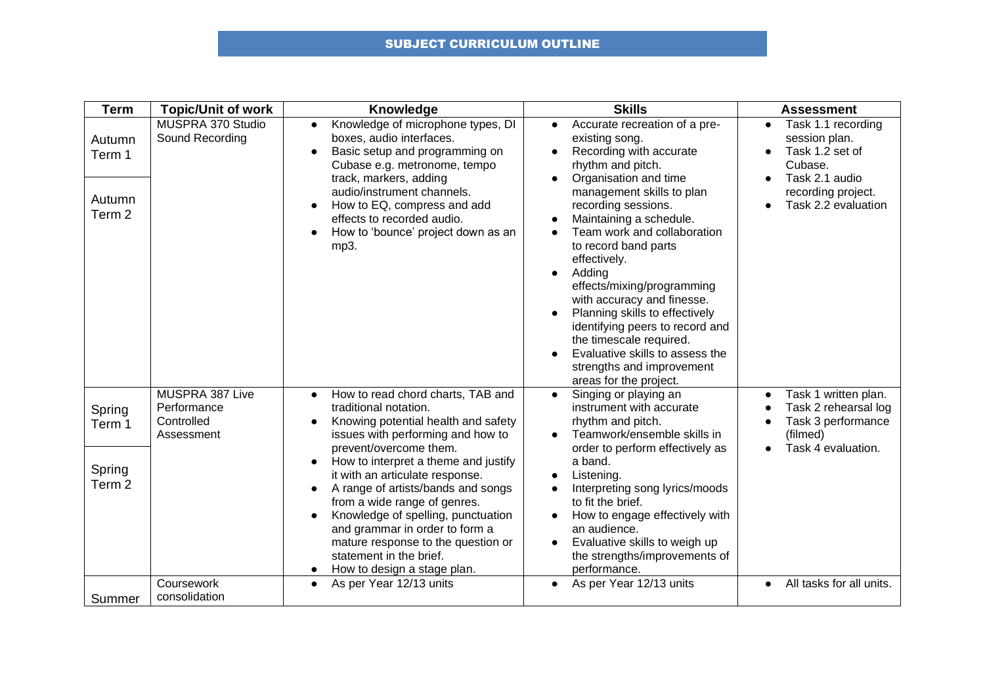## SUBJECT CURRICULUM OUTLINE

| <b>Term</b>                                     | <b>Topic/Unit of work</b>                                  | <b>Knowledge</b>                                                                                                                                                                                                                                                                                                                                                                                                                                                                                                                 | <b>Skills</b>                                                                                                                                                                                                                                                                                                                                                                                                                                                                                                                                               | <b>Assessment</b>                                                                                                                             |
|-------------------------------------------------|------------------------------------------------------------|----------------------------------------------------------------------------------------------------------------------------------------------------------------------------------------------------------------------------------------------------------------------------------------------------------------------------------------------------------------------------------------------------------------------------------------------------------------------------------------------------------------------------------|-------------------------------------------------------------------------------------------------------------------------------------------------------------------------------------------------------------------------------------------------------------------------------------------------------------------------------------------------------------------------------------------------------------------------------------------------------------------------------------------------------------------------------------------------------------|-----------------------------------------------------------------------------------------------------------------------------------------------|
| Autumn<br>Term 1<br>Autumn<br>Term <sub>2</sub> | MUSPRA 370 Studio<br>Sound Recording                       | Knowledge of microphone types, DI<br>$\bullet$<br>boxes, audio interfaces.<br>Basic setup and programming on<br>Cubase e.g. metronome, tempo<br>track, markers, adding<br>audio/instrument channels.<br>How to EQ, compress and add<br>effects to recorded audio.<br>How to 'bounce' project down as an<br>mp3.                                                                                                                                                                                                                  | Accurate recreation of a pre-<br>$\bullet$<br>existing song.<br>Recording with accurate<br>rhythm and pitch.<br>Organisation and time<br>management skills to plan<br>recording sessions.<br>Maintaining a schedule.<br>Team work and collaboration<br>to record band parts<br>effectively.<br>Adding<br>effects/mixing/programming<br>with accuracy and finesse.<br>Planning skills to effectively<br>identifying peers to record and<br>the timescale required.<br>Evaluative skills to assess the<br>strengths and improvement<br>areas for the project. | Task 1.1 recording<br>$\bullet$<br>session plan.<br>Task 1.2 set of<br>Cubase.<br>Task 2.1 audio<br>recording project.<br>Task 2.2 evaluation |
| Spring<br>Term 1<br>Spring<br>Term <sub>2</sub> | MUSPRA 387 Live<br>Performance<br>Controlled<br>Assessment | How to read chord charts, TAB and<br>$\bullet$<br>traditional notation.<br>Knowing potential health and safety<br>$\bullet$<br>issues with performing and how to<br>prevent/overcome them.<br>How to interpret a theme and justify<br>it with an articulate response.<br>A range of artists/bands and songs<br>from a wide range of genres.<br>Knowledge of spelling, punctuation<br>and grammar in order to form a<br>mature response to the question or<br>statement in the brief.<br>How to design a stage plan.<br>$\bullet$ | Singing or playing an<br>$\bullet$<br>instrument with accurate<br>rhythm and pitch.<br>Teamwork/ensemble skills in<br>order to perform effectively as<br>a band.<br>Listening.<br>Interpreting song lyrics/moods<br>to fit the brief.<br>How to engage effectively with<br>an audience.<br>Evaluative skills to weigh up<br>the strengths/improvements of<br>performance.                                                                                                                                                                                   | Task 1 written plan.<br>Task 2 rehearsal log<br>Task 3 performance<br>(filmed)<br>Task 4 evaluation.                                          |
| Summer                                          | Coursework<br>consolidation                                | As per Year 12/13 units<br>$\bullet$                                                                                                                                                                                                                                                                                                                                                                                                                                                                                             | As per Year 12/13 units<br>$\bullet$                                                                                                                                                                                                                                                                                                                                                                                                                                                                                                                        | All tasks for all units.<br>$\bullet$                                                                                                         |